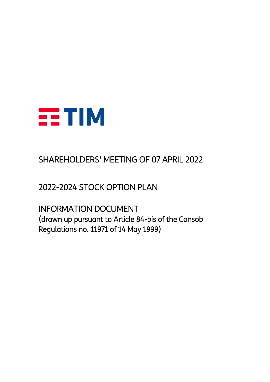

# SHAREHOLDERS' MEETING OF 07 APRIL 2022

2022-2024 STOCK OPTION PLAN

INFORMATION DOCUMENT (drawn up pursuant to Article 84-bis of the Consob Regulations no. 11971 of 14 May 1999)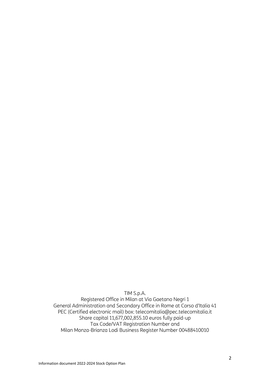TIM S.p.A.

Registered Office in Milan at Via Gaetano Negri 1 General Administration and Secondary Office in Rome at Corso d'Italia 41 PEC (Certified electronic mail) box: telecomitalia@pec.telecomitalia.it Share capital 11,677,002,855.10 euros fully paid-up Tax Code/VAT Registration Number and Milan Monza-Brianza Lodi Business Register Number 00488410010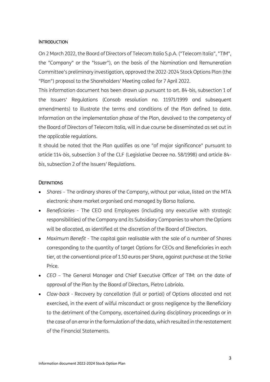#### **INTRODUCTION**

On 2 March 2022, the Board of Directors of Telecom Italia S.p.A. ("Telecom Italia", "TIM", the "Company" or the "Issuer"), on the basis of the Nomination and Remuneration Committee's preliminary investigation, approved the 2022-2024 Stock Options Plan (the "Plan") proposal to the Shareholders' Meeting called for 7 April 2022.

This information document has been drawn up pursuant to art. 84-bis, subsection 1 of the Issuers' Regulations (Consob resolution no. 11971/1999 and subsequent amendments) to illustrate the terms and conditions of the Plan defined to date. Information on the implementation phase of the Plan, devolved to the competency of the Board of Directors of Telecom Italia, will in due course be disseminated as set out in the applicable regulations.

It should be noted that the Plan qualifies as one "of major significance" pursuant to article 114-*bis*, subsection 3 of the CLF (Legislative Decree no. 58/1998) and article 84 *bis*, subsection 2 of the Issuers' Regulations.

#### **DEFINITIONS**

- *Shares* The ordinary shares of the Company, without par value, listed on the MTA electronic share market organised and managed by Borsa Italiana.
- *Beneficiaries* The CEO and Employees (including any executive with strategic responsibilities) of the Company and its Subsidiary Companies to whom the Options will be allocated, as identified at the discretion of the Board of Directors.
- *Maximum Benefit -* The capital gain realisable with the sale of a number of Shares corresponding to the quantity of target Options for CEOs and Beneficiaries in each tier, at the conventional price of 1.50 euros per Share, against purchase at the Strike Price.
- *CEO*  The General Manager and Chief Executive Officer of TIM: on the date of approval of the Plan by the Board of Directors, Pietro Labriola.
- *Claw-back* Recovery by cancellation (full or partial) of Options allocated and not exercised, in the event of wilful misconduct or gross negligence by the Beneficiary to the detriment of the Company, ascertained during disciplinary proceedings or in the case of an error in the formulation of the data, which resulted in the restatement of the Financial Statements.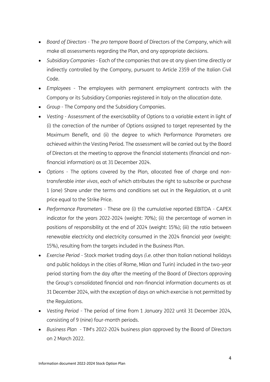- *Board of Directors* The *pro tempore* Board of Directors of the Company, which will make all assessments regarding the Plan, and any appropriate decisions.
- *Subsidiary Companies* Each of the companies that are at any given time directly or indirectly controlled by the Company, pursuant to Article 2359 of the Italian Civil Code.
- *Employees* The employees with permanent employment contracts with the Company or its Subsidiary Companies registered in Italy on the allocation date.
- *Group* The Company and the Subsidiary Companies.
- *Vesting -* Assessment of the exercisability of Options to a variable extent in light of (i) the correction of the number of Options assigned to target represented by the Maximum Benefit, and (ii) the degree to which Performance Parameters are achieved within the Vesting Period. The assessment will be carried out by the Board of Directors at the meeting to approve the financial statements (financial and nonfinancial information) as at 31 December 2024.
- *Options* The options covered by the Plan, allocated free of charge and nontransferable *inter vivos*, each of which attributes the right to subscribe or purchase 1 (one) Share under the terms and conditions set out in the Regulation, at a unit price equal to the Strike Price.
- *Performance Parameters*  These are (i) the cumulative reported EBITDA CAPEX indicator for the years 2022-2024 (weight: 70%); (ii) the percentage of women in positions of responsibility at the end of 2024 (weight: 15%); (iii) the ratio between renewable electricity and electricity consumed in the 2024 financial year (weight: 15%), resulting from the targets included in the Business Plan.
- *Exercise Period* Stock market trading days *(i.e.* other than Italian national holidays and public holidays in the cities of Rome, Milan and Turin) included in the two-year period starting from the day after the meeting of the Board of Directors approving the Group's consolidated financial and non-financial information documents as at 31 December 2024, with the exception of days on which exercise is not permitted by the Regulations.
- *Vesting Period*  The period of time from 1 January 2022 until 31 December 2024, consisting of 9 (nine) four-month periods.
- *Business Plan* TIM's 2022-2024 business plan approved by the Board of Directors on 2 March 2022.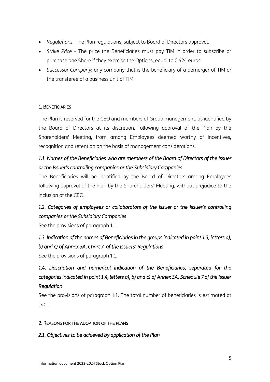- *Regulations-* The Plan regulations, subject to Board of Directors approval.
- *Strike Price*  The price the Beneficiaries must pay TIM in order to subscribe or purchase one Share if they exercise the Options, equal to 0.424 euros.
- *Successor Company*: any company that is the beneficiary of a demerger of TIM or the transferee of a business unit of TIM.

#### 1. BENEFICIARIES

The Plan is reserved for the CEO and members of Group management, as identified by the Board of Directors at its discretion, following approval of the Plan by the Shareholders' Meeting, from among Employees deemed worthy of incentives, recognition and retention on the basis of management considerations.

### *1.1. Names of the Beneficiaries who are members of the Board of Directors of the Issuer or the Issuer's controlling companies or the Subsidiary Companies*

The Beneficiaries will be identified by the Board of Directors among Employees following approval of the Plan by the Shareholders' Meeting, without prejudice to the inclusion of the CEO.

### *1.2. Categories of employees or collaborators of the Issuer or the Issuer's controlling companies or the Subsidiary Companies*

See the provisions of paragraph 1.1.

### *1.3. Indication of the names of Beneficiaries in the groups indicated in point 1.3, letters a), b) and c) of Annex 3A, Chart 7, of the Issuers' Regulations*

See the provisions of paragraph 1.1.

# *1.4. Description and numerical indication of the Beneficiaries, separated for the categories indicated in point 1.4, letters a), b) and c) of Annex 3A, Schedule 7 of the Issuer Regulation*

See the provisions of paragraph 1.1. The total number of beneficiaries is estimated at 140.

#### 2. REASONS FOR THE ADOPTION OF THE PLANS

### *2.1. Objectives to be achieved by application of the Plan*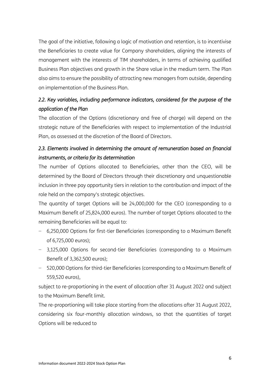The goal of the initiative, following a logic of motivation and retention, is to incentivise the Beneficiaries to create value for Company shareholders, aligning the interests of management with the interests of TIM shareholders, in terms of achieving qualified Business Plan objectives and growth in the Share value in the medium term. The Plan also aims to ensure the possibility of attracting new managers from outside, depending on implementation of the Business Plan.

### *2.2. Key variables, including performance indicators, considered for the purpose of the application of the Plan*

The allocation of the Options (discretionary and free of charge) will depend on the strategic nature of the Beneficiaries with respect to implementation of the Industrial Plan, as assessed at the discretion of the Board of Directors.

### 2.3. Elements involved in determining the amount of remuneration based on financial *instruments, or criteria for its determination*

The number of Options allocated to Beneficiaries, other than the CEO, will be determined by the Board of Directors through their discretionary and unquestionable inclusion in three pay opportunity tiers in relation to the contribution and impact of the role held on the company's strategic objectives.

The quantity of target Options will be 24,000,000 for the CEO (corresponding to a Maximum Benefit of 25,824,000 euros). The number of target Options allocated to the remaining Beneficiaries will be equal to:

- − 6,250,000 Options for first-tier Beneficiaries (corresponding to a Maximum Benefit of 6,725,000 euros);
- − 3,125,000 Options for second-tier Beneficiaries (corresponding to a Maximum Benefit of 3,362,500 euros);
- − 520,000 Options for third-tier Beneficiaries (corresponding to a Maximum Benefit of 559,520 euros),

subject to re-proportioning in the event of allocation after 31 August 2022 and subject to the Maximum Benefit limit.

The re-proportioning will take place starting from the allocations after 31 August 2022, considering six four-monthly allocation windows, so that the quantities of target Options will be reduced to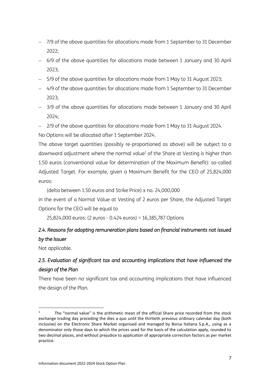- − 7/9 of the above quantities for allocations made from 1 September to 31 December 2022;
- − 6/9 of the above quantities for allocations made between 1 January and 30 April 2023;
- − 5/9 of the above quantities for allocations made from 1 May to 31 August 2023;
- − 4/9 of the above quantities for allocations made from 1 September to 31 December 2023;
- − 3/9 of the above quantities for allocations made between 1 January and 30 April 2024;
- − 2/9 of the above quantities for allocations made from 1 May to 31 August 2024.

No Options will be allocated after 1 September 2024.

The above target quantities (possibly re-proportioned as above) will be subject to a downward adjustment where the normal value<sup>1</sup> of the Share at Vesting is higher than 1.50 euros (conventional value for determination of the Maximum Benefit): so-called Adjusted Target. For example, given a Maximum Benefit for the CEO of 25,824,000 euros:

(delta between 1.50 euros and Strike Price) x no. 24,000,000

in the event of a Normal Value at Vesting of 2 euros per Share, the Adjusted Target Options for the CEO will be equal to

25,824,000 euros: (2 euros - 0.424 euros) = 16,385,787 Options

# *2.4. Reasons for adopting remuneration plans based on financial instruments not issued by the Issuer*

Not applicable.

### *2.5. Evaluation of significant tax and accounting implications that have influenced the design of the Plan*

There have been no significant tax and accounting implications that have influenced the design of the Plan.

<sup>1</sup> The "normal value" is the arithmetic mean of the official Share price recorded from the stock exchange trading day preceding the dies a quo until the thirtieth previous ordinary calendar day (both inclusive) on the Electronic Share Market organised and managed by Borsa Italiana S.p.A., using as a denominator only those days to which the prices used for the basis of the calculation apply, rounded to two decimal places, and without prejudice to application of appropriate correction factors as per market practice.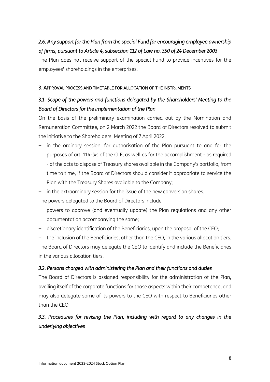# 2.6. Any support for the Plan from the special Fund for encouraging employee ownership *of firms, pursuant to Article 4, subsection 112 of Law no. 350 of 24 December 2003*

The Plan does not receive support of the special Fund to provide incentives for the employees' shareholdings in the enterprises.

### 3. APPROVAL PROCESS AND TIMETABLE FOR ALLOCATION OF THE INSTRUMENTS

### *3.1. Scope of the powers and functions delegated by the Shareholders' Meeting to the Board of Directors for the implementation of the Plan*

On the basis of the preliminary examination carried out by the Nomination and Remuneration Committee, on 2 March 2022 the Board of Directors resolved to submit the initiative to the Shareholders' Meeting of 7 April 2022,

- in the ordinary session, for authorisation of the Plan pursuant to and for the purposes of art. 114-*bis* of the CLF, as well as for the accomplishment - as required - of the acts to dispose of Treasury shares available in the Company's portfolio, from time to time, if the Board of Directors should consider it appropriate to service the Plan with the Treasury Shares available to the Company;
- − in the extraordinary session for the issue of the new conversion shares.

The powers delegated to the Board of Directors include

- − powers to approve (and eventually update) the Plan regulations and any other documentation accompanying the same;
- − discretionary identification of the Beneficiaries, upon the proposal of the CEO;

− the inclusion of the Beneficiaries, other than the CEO, in the various allocation tiers. The Board of Directors may delegate the CEO to identify and include the Beneficiaries in the various allocation tiers.

### *3.2. Persons charged with administering the Plan and their functions and duties*

The Board of Directors is assigned responsibility for the administration of the Plan, availing itself of the corporate functions for those aspects within their competence, and may also delegate some of its powers to the CEO with respect to Beneficiaries other than the CEO

### *3.3. Procedures for revising the Plan, including with regard to any changes in the underlying objectives*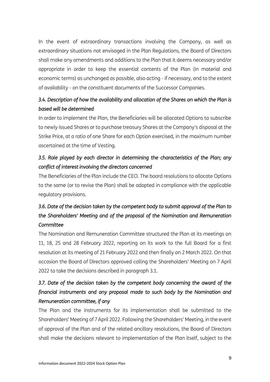In the event of extraordinary transactions involving the Company, as well as extraordinary situations not envisaged in the Plan Regulations, the Board of Directors shall make any amendments and additions to the Plan that it deems necessary and/or appropriate in order to keep the essential contents of the Plan (in material and economic terms) as unchanged as possible, also acting - if necessary, and to the extent of availability - on the constituent documents of the Successor Companies.

### *3.4. Description of how the availability and allocation of the Shares on which the Plan is based will be determined*

In order to implement the Plan, the Beneficiaries will be allocated Options to subscribe to newly issued Shares or to purchase treasury Shares at the Company's disposal at the Strike Price, at a ratio of one Share for each Option exercised, in the maximum number ascertained at the time of Vesting.

### *3.5. Role played by each director in determining the characteristics of the Plan; any conflict of interest involving the directors concerned*

The Beneficiaries of the Plan include the CEO. The board resolutions to allocate Options to the same (or to revise the Plan) shall be adopted in compliance with the applicable regulatory provisions.

# *3.6. Date of the decision taken by the competent body to submit approval of the Plan to the Shareholders' Meeting and of the proposal of the Nomination and Remuneration Committee*

The Nomination and Remuneration Committee structured the Plan at its meetings on 11, 18, 25 and 28 February 2022, reporting on its work to the full Board for a first resolution at its meeting of 21 February 2022 and then finally on 2 March 2022. On that occasion the Board of Directors approved calling the Shareholders' Meeting on 7 April 2022 to take the decisions described in paragraph 3.1.

# *3.7. Date of the decision taken by the competent body concerning the award of the financial instruments and any proposal made to such body by the Nomination and Remuneration committee, if any*

The Plan and the instruments for its implementation shall be submitted to the Shareholders' Meeting of 7 April 2022. Following the Shareholders' Meeting, in the event of approval of the Plan and of the related ancillary resolutions, the Board of Directors shall make the decisions relevant to implementation of the Plan itself, subject to the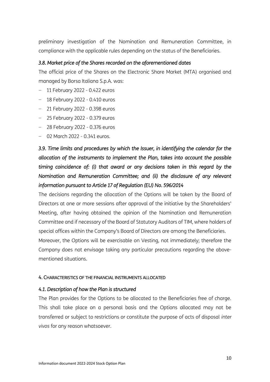preliminary investigation of the Nomination and Remuneration Committee, in compliance with the applicable rules depending on the status of the Beneficiaries.

#### *3.8. Market price of the Shares recorded on the aforementioned dates*

The official price of the Shares on the Electronic Share Market (MTA) organised and managed by Borsa Italiana S.p.A. was:

- − 11 February 2022 0.422 euros
- − 18 February 2022 0.410 euros
- − 21 February 2022 0.398 euros
- − 25 February 2022 0.379 euros
- − 28 February 2022 0.376 euros
- − 02 March 2022 0.341 euros.

*3.9. Time limits and procedures by which the Issuer, in identifying the calendar for the allocation of the instruments to implement the Plan, takes into account the possible timing coincidence of: (i) that award or any decisions taken in this regard by the Nomination and Remuneration Committee; and (ii) the disclosure of any relevant information pursuant to Article 17 of Regulation (EU) No. 596/2014*

The decisions regarding the allocation of the Options will be taken by the Board of Directors at one or more sessions after approval of the initiative by the Shareholders' Meeting, after having obtained the opinion of the Nomination and Remuneration Committee and if necessary of the Board of Statutory Auditors of TIM, where holders of special offices within the Company's Board of Directors are among the Beneficiaries. Moreover, the Options will be exercisable on Vesting, not immediately; therefore the Company does not envisage taking any particular precautions regarding the abovementioned situations.

#### 4. CHARACTERISTICS OF THE FINANCIAL INSTRUMENTS ALLOCATED

#### *4.1. Description of how the Plan is structured*

The Plan provides for the Options to be allocated to the Beneficiaries free of charge. This shall take place on a personal basis and the Options allocated may not be transferred or subject to restrictions or constitute the purpose of acts of disposal *inter vivos* for any reason whatsoever.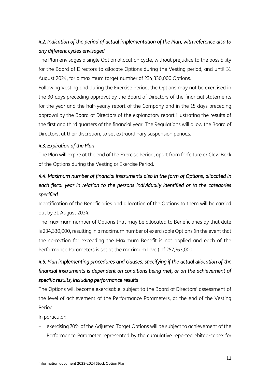# *4.2. Indication of the period of actual implementation of the Plan, with reference also to any different cycles envisaged*

The Plan envisages a single Option allocation cycle, without prejudice to the possibility for the Board of Directors to allocate Options during the Vesting period, and until 31 August 2024, for a maximum target number of 234,330,000 Options.

Following Vesting and during the Exercise Period, the Options may not be exercised in the 30 days preceding approval by the Board of Directors of the financial statements for the year and the half-yearly report of the Company and in the 15 days preceding approval by the Board of Directors of the explanatory report illustrating the results of the first and third quarters of the financial year. The Regulations will allow the Board of Directors, at their discretion, to set extraordinary suspension periods.

### *4.3. Expiration of the Plan*

The Plan will expire at the end of the Exercise Period, apart from forfeiture or Claw Back of the Options during the Vesting or Exercise Period.

# *4.4. Maximum number of financial instruments also in the form of Options, allocated in each fiscal year in relation to the persons individually identified or to the categories specified*

Identification of the Beneficiaries and allocation of the Options to them will be carried out by 31 August 2024.

The maximum number of Options that may be allocated to Beneficiaries by that date is 234,330,000, resulting in a maximum number of exercisable Options (in the event that the correction for exceeding the Maximum Benefit is not applied and each of the Performance Parameters is set at the maximum level) of 257,763,000.

# *4.5. Plan implementing procedures and clauses, specifying if the actual allocation of the financial instruments is dependent on conditions being met, or on the achievement of specific results, including performance results*

The Options will become exercisable, subject to the Board of Directors' assessment of the level of achievement of the Performance Parameters, at the end of the Vesting Period.

In particular:

− exercising 70% of the Adjusted Target Options will be subject to achievement of the Performance Parameter represented by the cumulative reported ebitda-capex for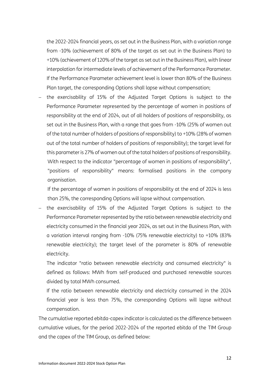the 2022-2024 financial years, as set out in the Business Plan, with a variation range from -10% (achievement of 80% of the target as set out in the Business Plan) to +10% (achievement of 120% of the target as set out in the Business Plan), with linear interpolation for intermediate levels of achievement of the Performance Parameter. If the Performance Parameter achievement level is lower than 80% of the Business Plan target, the corresponding Options shall lapse without compensation;

the exercisability of 15% of the Adjusted Target Options is subject to the Performance Parameter represented by the percentage of women in positions of responsibility at the end of 2024, out of all holders of positions of responsibility, as set out in the Business Plan, with a range that goes from -10% (25% of women out of the total number of holders of positions of responsibility) to +10% (28% of women out of the total number of holders of positions of responsibility); the target level for this parameter is 27% of women out of the total holders of positions of responsibility. With respect to the indicator "percentage of women in positions of responsibility", "positions of responsibility" means: formalised positions in the company organisation.

If the percentage of women in positions of responsibility at the end of 2024 is less than 25%, the corresponding Options will lapse without compensation.

the exercisability of 15% of the Adjusted Target Options is subject to the Performance Parameter represented by the ratio between renewable electricity and electricity consumed in the financial year 2024, as set out in the Business Plan, with a variation interval ranging from -10% (75% renewable electricity) to +10% (83% renewable electricity); the target level of the parameter is 80% of renewable electricity.

The indicator "ratio between renewable electricity and consumed electricity" is defined as follows: MWh from self-produced and purchased renewable sources divided by total MWh consumed.

If the ratio between renewable electricity and electricity consumed in the 2024 financial year is less than 75%, the corresponding Options will lapse without compensation.

The cumulative reported ebitda-capex indicator is calculated as the difference between cumulative values, for the period 2022-2024 of the reported ebitda of the TIM Group and the capex of the TIM Group, as defined below: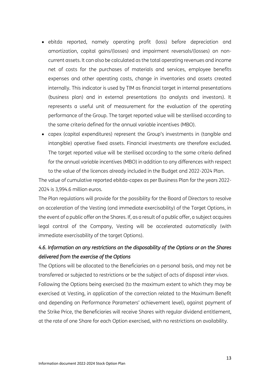- ebitda reported, namely operating profit (loss) before depreciation and amortization, capital gains/(losses) and impairment reversals/(losses) on noncurrent assets. It can also be calculated as the total operating revenues and income net of costs for the purchases of materials and services, employee benefits expenses and other operating costs, change in inventories and assets created internally. This indicator is used by TIM as financial target in internal presentations (business plan) and in external presentations (to analysts and investors). It represents a useful unit of measurement for the evaluation of the operating performance of the Group. The target reported value will be sterilised according to the same criteria defined for the annual variable incentives (MBO).
- capex (capital expenditures) represent the Group's investments in (tangible and intangible) operative fixed assets. Financial investments are therefore excluded. The target reported value will be sterilised according to the same criteria defined for the annual variable incentives (MBO) in addition to any differences with respect to the value of the licences already included in the Budget and 2022-2024 Plan.

The value of cumulative reported ebitda-capex as per Business Plan for the years 2022- 2024 is 3,994.6 million euros.

The Plan regulations will provide for the possibility for the Board of Directors to resolve on acceleration of the Vesting (and immediate exercisability) of the Target Options, in the event of a public offer on the Shares. If, as a result of a public offer, a subject acquires legal control of the Company, Vesting will be accelerated automatically (with immediate exercisability of the target Options).

### *4.6. Information on any restrictions on the disposability of the Options or on the Shares delivered from the exercise of the Options*

The Options will be allocated to the Beneficiaries on a personal basis, and may not be transferred or subjected to restrictions or be the subject of acts of disposal *inter vivos*. Following the Options being exercised (to the maximum extent to which they may be exercised at Vesting, in application of the correction related to the Maximum Benefit and depending on Performance Parameters' achievement level), against payment of the Strike Price, the Beneficiaries will receive Shares with regular dividend entitlement, at the rate of one Share for each Option exercised, with no restrictions on availability.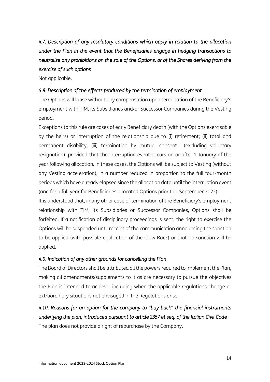*4.7. Description of any resolutory conditions which apply in relation to the allocation under the Plan in the event that the Beneficiaries engage in hedging transactions to neutralise any prohibitions on the sale of the Options, or of the Shares deriving from the exercise of such options* 

Not applicable.

### *4.8. Description of the effects produced by the termination of employment*

The Options will lapse without any compensation upon termination of the Beneficiary's employment with TIM, its Subsidiaries and/or Successor Companies during the Vesting period.

Exceptions to this rule are cases of early Beneficiary death (with the Options exercisable by the heirs) or interruption of the relationship due to (i) retirement; (ii) total and permanent disability; (iii) termination by mutual consent (excluding voluntary resignation), provided that the interruption event occurs on or after 1 January of the year following allocation. In these cases, the Options will be subject to Vesting (without any Vesting acceleration), in a number reduced in proportion to the full four-month periods which have already elapsed since the allocation date until the interruption event (and for a full year for Beneficiaries allocated Options prior to 1 September 2022).

It is understood that, in any other case of termination of the Beneficiary's employment relationship with TIM, its Subsidiaries or Successor Companies, Options shall be forfeited. If a notification of disciplinary proceedings is sent, the right to exercise the Options will be suspended until receipt of the communication announcing the sanction to be applied (with possible application of the Claw Back) or that no sanction will be applied.

### *4.9. Indication of any other grounds for cancelling the Plan*

The Board of Directors shall be attributed all the powers required to implement the Plan, making all amendments/supplements to it as are necessary to pursue the objectives the Plan is intended to achieve, including when the applicable regulations change or extraordinary situations not envisaged in the Regulations arise.

# *4.10. Reasons for an option for the company to "buy back" the financial instruments underlying the plan, introduced pursuant to article 2357 et seq. of the Italian Civil Code*

The plan does not provide a right of repurchase by the Company.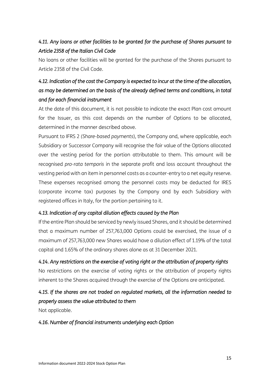# *4.11. Any loans or other facilities to be granted for the purchase of Shares pursuant to Article 2358 of the Italian Civil Code*

No loans or other facilities will be granted for the purchase of the Shares pursuant to Article 2358 of the Civil Code.

# *4.12. Indication of the cost the Company is expected to incur at the time of the allocation, as may be determined on the basis of the already defined terms and conditions, in total and for each financial instrument*

At the date of this document, it is not possible to indicate the exact Plan cost amount for the Issuer, as this cost depends on the number of Options to be allocated, determined in the manner described above.

Pursuant to IFRS 2 *(Share-based payments*), the Company and, where applicable, each Subsidiary or Successor Company will recognise the fair value of the Options allocated over the vesting period for the portion attributable to them. This amount will be recognised *pro-rata temporis* in the separate profit and loss account throughout the vesting period with an item in personnel costs as a counter-entry to a net equity reserve. These expenses recognised among the personnel costs may be deducted for IRES (corporate income tax) purposes by the Company and by each Subsidiary with registered offices in Italy, for the portion pertaining to it.

### *4.13. Indication of any capital dilution effects caused by the Plan*

If the entire Plan should be serviced by newly issued Shares, and it should be determined that a maximum number of 257,763,000 Options could be exercised, the issue of a maximum of 257,763,000 new Shares would have a dilution effect of 1.19% of the total capital and 1.65% of the ordinary shares alone as at 31 December 2021.

### *4.14. Any restrictions on the exercise of voting right or the attribution of property rights*

No restrictions on the exercise of voting rights or the attribution of property rights inherent to the Shares acquired through the exercise of the Options are anticipated.

### *4.15. If the shares are not traded on regulated markets, all the information needed to properly assess the value attributed to them*

Not applicable.

### *4.16. Number of financial instruments underlying each Option*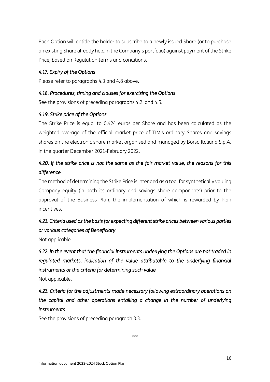Each Option will entitle the holder to subscribe to a newly issued Share (or to purchase an existing Share already held in the Company's portfolio) against payment of the Strike Price, based on Regulation terms and conditions.

### *4.17. Expiry of the Options*

Please refer to paragraphs 4.3 and 4.8 above.

### *4.18. Procedures, timing and clauses for exercising the Options*

See the provisions of preceding paragraphs 4.2 and 4.5.

### *4.19. Strike price of the Options*

The Strike Price is equal to 0.424 euros per Share and has been calculated as the weighted average of the official market price of TIM's ordinary Shares and savings shares on the electronic share market organised and managed by Borsa Italiana S.p.A. in the quarter December 2021-February 2022.

### *4.20. If the strike price is not the same as the fair market value, the reasons for this difference*

The method of determining the Strike Price is intended as a tool for synthetically valuing Company equity (in both its ordinary and savings share components) prior to the approval of the Business Plan, the implementation of which is rewarded by Plan incentives.

### *4.21. Criteria used as the basis for expecting different strike prices between various parties or various categories of Beneficiary*

Not applicable.

*4.22. In the event that the financial instruments underlying the Options are not traded in regulated markets, indication of the value attributable to the underlying financial instruments or the criteria for determining such value* 

Not applicable.

# *4.23. Criteria for the adjustments made necessary following extraordinary operations on the capital and other operations entailing a change in the number of underlying instruments*

See the provisions of preceding paragraph 3.3.